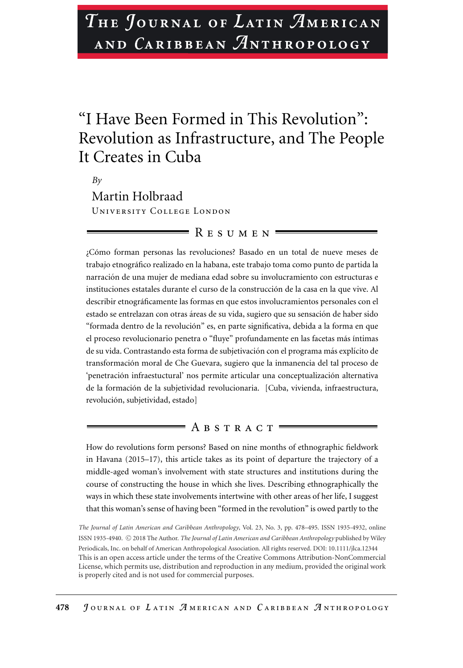# THE JOURNAL OF LATIN AMERICAN AND CARIBBEAN ANTHROPOLOGY

## "I Have Been Formed in This Revolution": Revolution as Infrastructure, and The People It Creates in Cuba

*By*

Martin Holbraad University College London

Resumen

¿Como forman personas las revoluciones? Basado en un total de nueve meses de ´ trabajo etnografico realizado en la habana, este trabajo toma como punto de partida la ´ narracion de una mujer de mediana edad sobre su involucramiento con estructuras e ´ instituciones estatales durante el curso de la construccion de la casa en la que vive. Al ´ describir etnográficamente las formas en que estos involucramientos personales con el estado se entrelazan con otras áreas de su vida, sugiero que su sensación de haber sido "formada dentro de la revolucion" es, en parte significativa, debida a la forma en que ´ el proceso revolucionario penetra o "fluye" profundamente en las facetas más íntimas de su vida. Contrastando esta forma de subjetivación con el programa más explícito de transformacion moral de Che Guevara, sugiero que la inmanencia del tal proceso de ´ 'penetración infraestuctural' nos permite articular una conceptualización alternativa de la formación de la subjetividad revolucionaria. [Cuba, vivienda, infraestructura, revolución, subjetividad, estado]

### Abstract<sup>=</sup>

How do revolutions form persons? Based on nine months of ethnographic fieldwork in Havana (2015–17), this article takes as its point of departure the trajectory of a middle-aged woman's involvement with state structures and institutions during the course of constructing the house in which she lives. Describing ethnographically the ways in which these state involvements intertwine with other areas of her life, I suggest that this woman's sense of having been "formed in the revolution" is owed partly to the

*The Journal of Latin American and Caribbean Anthropology*, Vol. 23, No. 3, pp. 478–495. ISSN 1935-4932, online ISSN 1935-4940. © 2018 The Author. *The Journal of Latin American and Caribbean Anthropology* published by Wiley Periodicals, Inc. on behalf of American Anthropological Association. All rights reserved. DOI: 10.1111/jlca.12344 This is an open access article under the terms of the Creative Commons Attribution-NonCommercial License, which permits use, distribution and reproduction in any medium, provided the original work is properly cited and is not used for commercial purposes.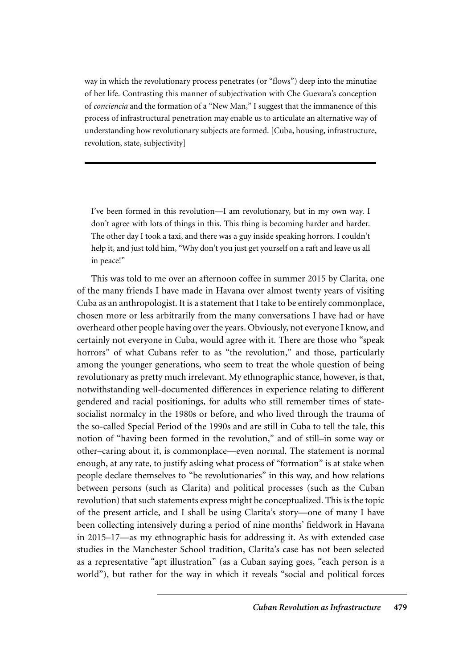way in which the revolutionary process penetrates (or "flows") deep into the minutiae of her life. Contrasting this manner of subjectivation with Che Guevara's conception of *conciencia* and the formation of a "New Man," I suggest that the immanence of this process of infrastructural penetration may enable us to articulate an alternative way of understanding how revolutionary subjects are formed. [Cuba, housing, infrastructure, revolution, state, subjectivity]

I've been formed in this revolution—I am revolutionary, but in my own way. I don't agree with lots of things in this. This thing is becoming harder and harder. The other day I took a taxi, and there was a guy inside speaking horrors. I couldn't help it, and just told him, "Why don't you just get yourself on a raft and leave us all in peace!"

This was told to me over an afternoon coffee in summer 2015 by Clarita, one of the many friends I have made in Havana over almost twenty years of visiting Cuba as an anthropologist. It is a statement that I take to be entirely commonplace, chosen more or less arbitrarily from the many conversations I have had or have overheard other people having over the years. Obviously, not everyone I know, and certainly not everyone in Cuba, would agree with it. There are those who "speak horrors" of what Cubans refer to as "the revolution," and those, particularly among the younger generations, who seem to treat the whole question of being revolutionary as pretty much irrelevant. My ethnographic stance, however, is that, notwithstanding well-documented differences in experience relating to different gendered and racial positionings, for adults who still remember times of statesocialist normalcy in the 1980s or before, and who lived through the trauma of the so-called Special Period of the 1990s and are still in Cuba to tell the tale, this notion of "having been formed in the revolution," and of still–in some way or other–caring about it, is commonplace—even normal. The statement is normal enough, at any rate, to justify asking what process of "formation" is at stake when people declare themselves to "be revolutionaries" in this way, and how relations between persons (such as Clarita) and political processes (such as the Cuban revolution) that such statements express might be conceptualized. This is the topic of the present article, and I shall be using Clarita's story—one of many I have been collecting intensively during a period of nine months' fieldwork in Havana in 2015–17—as my ethnographic basis for addressing it. As with extended case studies in the Manchester School tradition, Clarita's case has not been selected as a representative "apt illustration" (as a Cuban saying goes, "each person is a world"), but rather for the way in which it reveals "social and political forces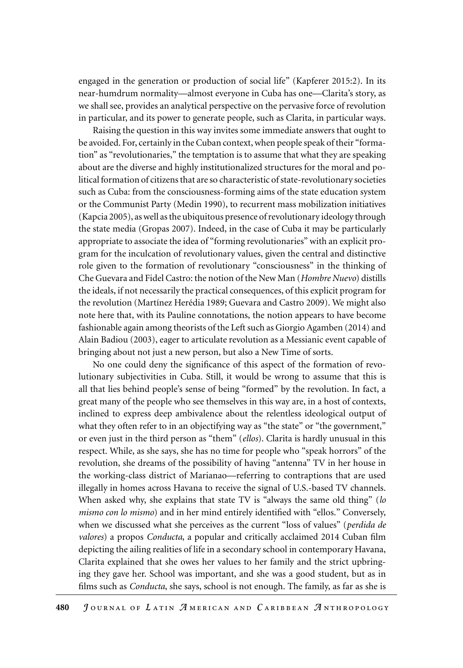engaged in the generation or production of social life" (Kapferer 2015:2). In its near-humdrum normality—almost everyone in Cuba has one—Clarita's story, as we shall see, provides an analytical perspective on the pervasive force of revolution in particular, and its power to generate people, such as Clarita, in particular ways.

Raising the question in this way invites some immediate answers that ought to be avoided. For, certainly in the Cuban context, when people speak of their "formation" as "revolutionaries," the temptation is to assume that what they are speaking about are the diverse and highly institutionalized structures for the moral and political formation of citizens that are so characteristic of state-revolutionary societies such as Cuba: from the consciousness-forming aims of the state education system or the Communist Party (Medin 1990), to recurrent mass mobilization initiatives (Kapcia 2005), as well as the ubiquitous presence of revolutionary ideology through the state media (Gropas 2007). Indeed, in the case of Cuba it may be particularly appropriate to associate the idea of "forming revolutionaries" with an explicit program for the inculcation of revolutionary values, given the central and distinctive role given to the formation of revolutionary "consciousness" in the thinking of Che Guevara and Fidel Castro: the notion of the New Man (*Hombre Nuevo*) distills the ideals, if not necessarily the practical consequences, of this explicit program for the revolution (Martínez Herédia 1989; Guevara and Castro 2009). We might also note here that, with its Pauline connotations, the notion appears to have become fashionable again among theorists of the Left such as Giorgio Agamben (2014) and Alain Badiou (2003), eager to articulate revolution as a Messianic event capable of bringing about not just a new person, but also a New Time of sorts.

No one could deny the significance of this aspect of the formation of revolutionary subjectivities in Cuba. Still, it would be wrong to assume that this is all that lies behind people's sense of being "formed" by the revolution. In fact, a great many of the people who see themselves in this way are, in a host of contexts, inclined to express deep ambivalence about the relentless ideological output of what they often refer to in an objectifying way as "the state" or "the government," or even just in the third person as "them" (*ellos*). Clarita is hardly unusual in this respect. While, as she says, she has no time for people who "speak horrors" of the revolution, she dreams of the possibility of having "antenna" TV in her house in the working-class district of Marianao—referring to contraptions that are used illegally in homes across Havana to receive the signal of U.S.-based TV channels. When asked why, she explains that state TV is "always the same old thing" (*lo mismo con lo mismo*) and in her mind entirely identified with "ellos." Conversely, when we discussed what she perceives as the current "loss of values" (*perdida de valores*) a propos *Conducta*, a popular and critically acclaimed 2014 Cuban film depicting the ailing realities of life in a secondary school in contemporary Havana, Clarita explained that she owes her values to her family and the strict upbringing they gave her. School was important, and she was a good student, but as in films such as *Conducta*, she says, school is not enough. The family, as far as she is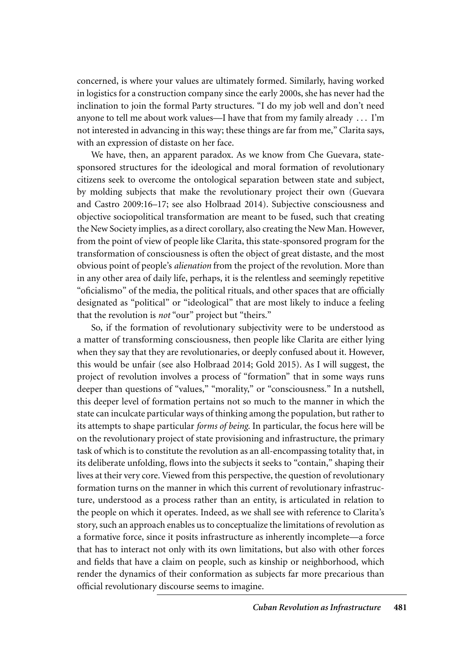concerned, is where your values are ultimately formed. Similarly, having worked in logistics for a construction company since the early 2000s, she has never had the inclination to join the formal Party structures. "I do my job well and don't need anyone to tell me about work values—I have that from my family already . . . I'm not interested in advancing in this way; these things are far from me," Clarita says, with an expression of distaste on her face.

We have, then, an apparent paradox. As we know from Che Guevara, statesponsored structures for the ideological and moral formation of revolutionary citizens seek to overcome the ontological separation between state and subject, by molding subjects that make the revolutionary project their own (Guevara and Castro 2009:16–17; see also Holbraad 2014). Subjective consciousness and objective sociopolitical transformation are meant to be fused, such that creating the New Society implies, as a direct corollary, also creating the New Man. However, from the point of view of people like Clarita, this state-sponsored program for the transformation of consciousness is often the object of great distaste, and the most obvious point of people's *alienation* from the project of the revolution. More than in any other area of daily life, perhaps, it is the relentless and seemingly repetitive "oficialismo" of the media, the political rituals, and other spaces that are officially designated as "political" or "ideological" that are most likely to induce a feeling that the revolution is *not* "our" project but "theirs."

So, if the formation of revolutionary subjectivity were to be understood as a matter of transforming consciousness, then people like Clarita are either lying when they say that they are revolutionaries, or deeply confused about it. However, this would be unfair (see also Holbraad 2014; Gold 2015). As I will suggest, the project of revolution involves a process of "formation" that in some ways runs deeper than questions of "values," "morality," or "consciousness." In a nutshell, this deeper level of formation pertains not so much to the manner in which the state can inculcate particular ways of thinking among the population, but rather to its attempts to shape particular *forms of being*. In particular, the focus here will be on the revolutionary project of state provisioning and infrastructure, the primary task of which is to constitute the revolution as an all-encompassing totality that, in its deliberate unfolding, flows into the subjects it seeks to "contain," shaping their lives at their very core. Viewed from this perspective, the question of revolutionary formation turns on the manner in which this current of revolutionary infrastructure, understood as a process rather than an entity, is articulated in relation to the people on which it operates. Indeed, as we shall see with reference to Clarita's story, such an approach enables us to conceptualize the limitations of revolution as a formative force, since it posits infrastructure as inherently incomplete—a force that has to interact not only with its own limitations, but also with other forces and fields that have a claim on people, such as kinship or neighborhood, which render the dynamics of their conformation as subjects far more precarious than official revolutionary discourse seems to imagine.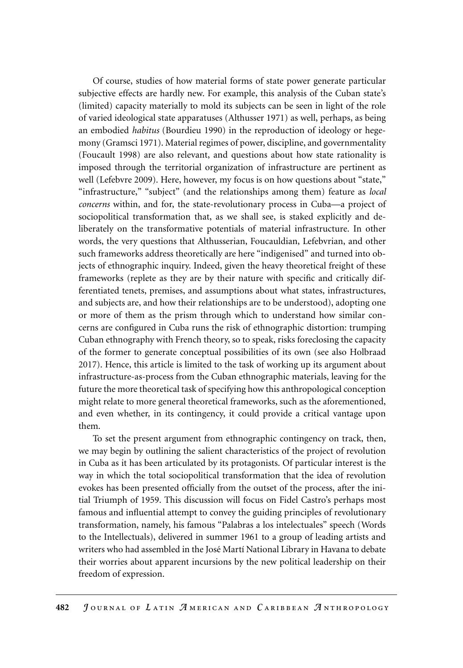Of course, studies of how material forms of state power generate particular subjective effects are hardly new. For example, this analysis of the Cuban state's (limited) capacity materially to mold its subjects can be seen in light of the role of varied ideological state apparatuses (Althusser 1971) as well, perhaps, as being an embodied *habitus* (Bourdieu 1990) in the reproduction of ideology or hegemony (Gramsci 1971). Material regimes of power, discipline, and governmentality (Foucault 1998) are also relevant, and questions about how state rationality is imposed through the territorial organization of infrastructure are pertinent as well (Lefebvre 2009). Here, however, my focus is on how questions about "state," "infrastructure," "subject" (and the relationships among them) feature as *local concerns* within, and for, the state-revolutionary process in Cuba—a project of sociopolitical transformation that, as we shall see, is staked explicitly and deliberately on the transformative potentials of material infrastructure. In other words, the very questions that Althusserian, Foucauldian, Lefebvrian, and other such frameworks address theoretically are here "indigenised" and turned into objects of ethnographic inquiry. Indeed, given the heavy theoretical freight of these frameworks (replete as they are by their nature with specific and critically differentiated tenets, premises, and assumptions about what states, infrastructures, and subjects are, and how their relationships are to be understood), adopting one or more of them as the prism through which to understand how similar concerns are configured in Cuba runs the risk of ethnographic distortion: trumping Cuban ethnography with French theory, so to speak, risks foreclosing the capacity of the former to generate conceptual possibilities of its own (see also Holbraad 2017). Hence, this article is limited to the task of working up its argument about infrastructure-as-process from the Cuban ethnographic materials, leaving for the future the more theoretical task of specifying how this anthropological conception might relate to more general theoretical frameworks, such as the aforementioned, and even whether, in its contingency, it could provide a critical vantage upon them.

To set the present argument from ethnographic contingency on track, then, we may begin by outlining the salient characteristics of the project of revolution in Cuba as it has been articulated by its protagonists. Of particular interest is the way in which the total sociopolitical transformation that the idea of revolution evokes has been presented officially from the outset of the process, after the initial Triumph of 1959. This discussion will focus on Fidel Castro's perhaps most famous and influential attempt to convey the guiding principles of revolutionary transformation, namely, his famous "Palabras a los intelectuales" speech (Words to the Intellectuals), delivered in summer 1961 to a group of leading artists and writers who had assembled in the José Martí National Library in Havana to debate their worries about apparent incursions by the new political leadership on their freedom of expression.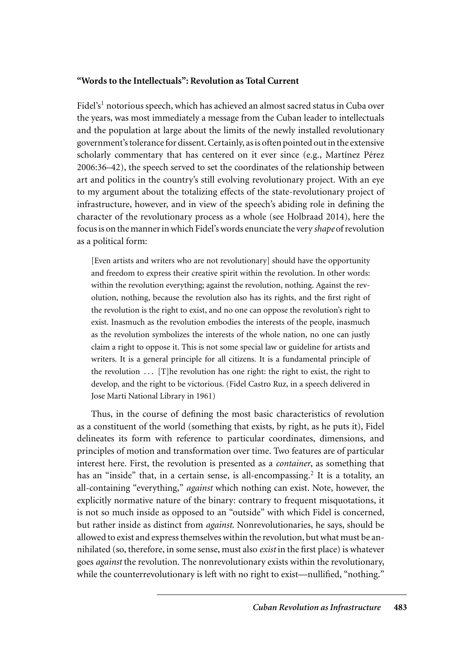#### **"Words to the Intellectuals": Revolution as Total Current**

Fidel's<sup>1</sup> notorious speech, which has achieved an almost sacred status in Cuba over the years, was most immediately a message from the Cuban leader to intellectuals and the population at large about the limits of the newly installed revolutionary government's tolerancefor dissent. Certainly, as is often pointed out in the extensive scholarly commentary that has centered on it ever since (e.g., Martínez Pérez 2006:36–42), the speech served to set the coordinates of the relationship between art and politics in the country's still evolving revolutionary project. With an eye to my argument about the totalizing effects of the state-revolutionary project of infrastructure, however, and in view of the speech's abiding role in defining the character of the revolutionary process as a whole (see Holbraad 2014), here the focus is on the manner in which Fidel's words enunciate the very *shape* of revolution as a political form:

[Even artists and writers who are not revolutionary] should have the opportunity and freedom to express their creative spirit within the revolution. In other words: within the revolution everything; against the revolution, nothing. Against the revolution, nothing, because the revolution also has its rights, and the first right of the revolution is the right to exist, and no one can oppose the revolution's right to exist. Inasmuch as the revolution embodies the interests of the people, inasmuch as the revolution symbolizes the interests of the whole nation, no one can justly claim a right to oppose it. This is not some special law or guideline for artists and writers. It is a general principle for all citizens. It is a fundamental principle of the revolution  $\ldots$  [T]he revolution has one right: the right to exist, the right to develop, and the right to be victorious. (Fidel Castro Ruz, in a speech delivered in Jose Marti National Library in 1961)

Thus, in the course of defining the most basic characteristics of revolution as a constituent of the world (something that exists, by right, as he puts it), Fidel delineates its form with reference to particular coordinates, dimensions, and principles of motion and transformation over time. Two features are of particular interest here. First, the revolution is presented as a *container*, as something that has an "inside" that, in a certain sense, is all-encompassing.<sup>2</sup> It is a totality, an all-containing "everything," *against* which nothing can exist. Note, however, the explicitly normative nature of the binary: contrary to frequent misquotations, it is not so much inside as opposed to an "outside" with which Fidel is concerned, but rather inside as distinct from *against*. Nonrevolutionaries, he says, should be allowed to exist and express themselves within the revolution, but what must be annihilated (so, therefore, in some sense, must also *exist* in the first place) is whatever goes *against* the revolution. The nonrevolutionary exists within the revolutionary, while the counterrevolutionary is left with no right to exist—nullified, "nothing."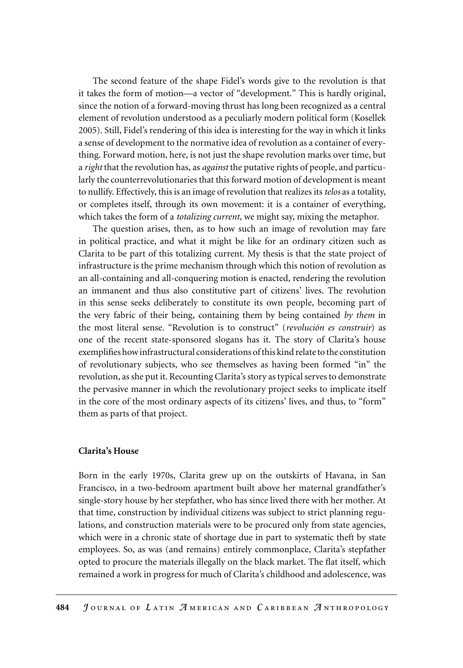The second feature of the shape Fidel's words give to the revolution is that it takes the form of motion—a vector of "development." This is hardly original, since the notion of a forward-moving thrust has long been recognized as a central element of revolution understood as a peculiarly modern political form (Kosellek 2005). Still, Fidel's rendering of this idea is interesting for the way in which it links a sense of development to the normative idea of revolution as a container of everything. Forward motion, here, is not just the shape revolution marks over time, but a *right* that the revolution has, as *against* the putative rights of people, and particularly the counterrevolutionaries that this forward motion of development is meant to nullify. Effectively, this is an image of revolution that realizes its *telos* as a totality, or completes itself, through its own movement: it is a container of everything, which takes the form of a *totalizing current*, we might say, mixing the metaphor.

The question arises, then, as to how such an image of revolution may fare in political practice, and what it might be like for an ordinary citizen such as Clarita to be part of this totalizing current. My thesis is that the state project of infrastructure is the prime mechanism through which this notion of revolution as an all-containing and all-conquering motion is enacted, rendering the revolution an immanent and thus also constitutive part of citizens' lives. The revolution in this sense seeks deliberately to constitute its own people, becoming part of the very fabric of their being, containing them by being contained *by them* in the most literal sense. "Revolution is to construct" (*revolucion es construir ´* ) as one of the recent state-sponsored slogans has it. The story of Clarita's house exemplifies howinfrastructural considerations of this kind relate to the constitution of revolutionary subjects, who see themselves as having been formed "in" the revolution, as she put it. Recounting Clarita's story as typical serves to demonstrate the pervasive manner in which the revolutionary project seeks to implicate itself in the core of the most ordinary aspects of its citizens' lives, and thus, to "form" them as parts of that project.

#### **Clarita's House**

Born in the early 1970s, Clarita grew up on the outskirts of Havana, in San Francisco, in a two-bedroom apartment built above her maternal grandfather's single-story house by her stepfather, who has since lived there with her mother. At that time, construction by individual citizens was subject to strict planning regulations, and construction materials were to be procured only from state agencies, which were in a chronic state of shortage due in part to systematic theft by state employees. So, as was (and remains) entirely commonplace, Clarita's stepfather opted to procure the materials illegally on the black market. The flat itself, which remained a work in progress for much of Clarita's childhood and adolescence, was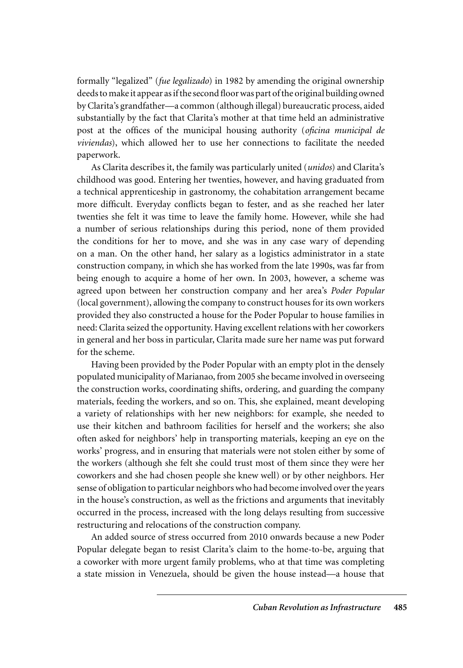formally "legalized" (*fue legalizado*) in 1982 by amending the original ownership deeds tomake it appear as if the second floor was part of the original building owned by Clarita's grandfather—a common (although illegal) bureaucratic process, aided substantially by the fact that Clarita's mother at that time held an administrative post at the offices of the municipal housing authority (*oficina municipal de viviendas*), which allowed her to use her connections to facilitate the needed paperwork.

As Clarita describes it, the family was particularly united (*unidos*) and Clarita's childhood was good. Entering her twenties, however, and having graduated from a technical apprenticeship in gastronomy, the cohabitation arrangement became more difficult. Everyday conflicts began to fester, and as she reached her later twenties she felt it was time to leave the family home. However, while she had a number of serious relationships during this period, none of them provided the conditions for her to move, and she was in any case wary of depending on a man. On the other hand, her salary as a logistics administrator in a state construction company, in which she has worked from the late 1990s, was far from being enough to acquire a home of her own. In 2003, however, a scheme was agreed upon between her construction company and her area's *Poder Popular* (local government), allowing the company to construct houses for its own workers provided they also constructed a house for the Poder Popular to house families in need: Clarita seized the opportunity. Having excellent relations with her coworkers in general and her boss in particular, Clarita made sure her name was put forward for the scheme.

Having been provided by the Poder Popular with an empty plot in the densely populated municipality of Marianao, from 2005 she became involved in overseeing the construction works, coordinating shifts, ordering, and guarding the company materials, feeding the workers, and so on. This, she explained, meant developing a variety of relationships with her new neighbors: for example, she needed to use their kitchen and bathroom facilities for herself and the workers; she also often asked for neighbors' help in transporting materials, keeping an eye on the works' progress, and in ensuring that materials were not stolen either by some of the workers (although she felt she could trust most of them since they were her coworkers and she had chosen people she knew well) or by other neighbors. Her sense of obligation to particular neighbors who had become involved over the years in the house's construction, as well as the frictions and arguments that inevitably occurred in the process, increased with the long delays resulting from successive restructuring and relocations of the construction company.

An added source of stress occurred from 2010 onwards because a new Poder Popular delegate began to resist Clarita's claim to the home-to-be, arguing that a coworker with more urgent family problems, who at that time was completing a state mission in Venezuela, should be given the house instead—a house that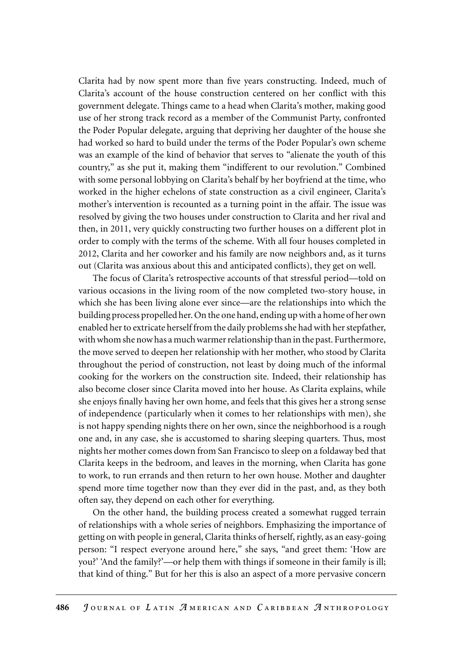Clarita had by now spent more than five years constructing. Indeed, much of Clarita's account of the house construction centered on her conflict with this government delegate. Things came to a head when Clarita's mother, making good use of her strong track record as a member of the Communist Party, confronted the Poder Popular delegate, arguing that depriving her daughter of the house she had worked so hard to build under the terms of the Poder Popular's own scheme was an example of the kind of behavior that serves to "alienate the youth of this country," as she put it, making them "indifferent to our revolution." Combined with some personal lobbying on Clarita's behalf by her boyfriend at the time, who worked in the higher echelons of state construction as a civil engineer, Clarita's mother's intervention is recounted as a turning point in the affair. The issue was resolved by giving the two houses under construction to Clarita and her rival and then, in 2011, very quickly constructing two further houses on a different plot in order to comply with the terms of the scheme. With all four houses completed in 2012, Clarita and her coworker and his family are now neighbors and, as it turns out (Clarita was anxious about this and anticipated conflicts), they get on well.

The focus of Clarita's retrospective accounts of that stressful period—told on various occasions in the living room of the now completed two-story house, in which she has been living alone ever since—are the relationships into which the building process propelled her. On the one hand, ending up with a home of her own enabled her to extricate herself from the daily problems she had with her stepfather, with whom she now has a much warmer relationship than in the past. Furthermore, the move served to deepen her relationship with her mother, who stood by Clarita throughout the period of construction, not least by doing much of the informal cooking for the workers on the construction site. Indeed, their relationship has also become closer since Clarita moved into her house. As Clarita explains, while she enjoys finally having her own home, and feels that this gives her a strong sense of independence (particularly when it comes to her relationships with men), she is not happy spending nights there on her own, since the neighborhood is a rough one and, in any case, she is accustomed to sharing sleeping quarters. Thus, most nights her mother comes down from San Francisco to sleep on a foldaway bed that Clarita keeps in the bedroom, and leaves in the morning, when Clarita has gone to work, to run errands and then return to her own house. Mother and daughter spend more time together now than they ever did in the past, and, as they both often say, they depend on each other for everything.

On the other hand, the building process created a somewhat rugged terrain of relationships with a whole series of neighbors. Emphasizing the importance of getting on with people in general, Clarita thinks of herself, rightly, as an easy-going person: "I respect everyone around here," she says, "and greet them: 'How are you?' 'And the family?'—or help them with things if someone in their family is ill; that kind of thing." But for her this is also an aspect of a more pervasive concern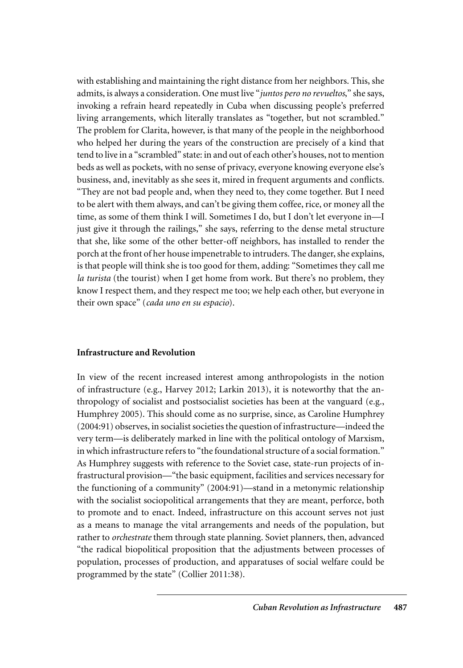with establishing and maintaining the right distance from her neighbors. This, she admits, is always a consideration. One must live "*juntos pero no revueltos*," she says, invoking a refrain heard repeatedly in Cuba when discussing people's preferred living arrangements, which literally translates as "together, but not scrambled." The problem for Clarita, however, is that many of the people in the neighborhood who helped her during the years of the construction are precisely of a kind that tend to live in a "scrambled" state: in and out of each other's houses, not to mention beds as well as pockets, with no sense of privacy, everyone knowing everyone else's business, and, inevitably as she sees it, mired in frequent arguments and conflicts. "They are not bad people and, when they need to, they come together. But I need to be alert with them always, and can't be giving them coffee, rice, or money all the time, as some of them think I will. Sometimes I do, but I don't let everyone in—I just give it through the railings," she says, referring to the dense metal structure that she, like some of the other better-off neighbors, has installed to render the porch at the front of her house impenetrable to intruders. The danger, she explains, is that people will think she is too good for them, adding: "Sometimes they call me *la turista* (the tourist) when I get home from work. But there's no problem, they know I respect them, and they respect me too; we help each other, but everyone in their own space" (*cada uno en su espacio*).

#### **Infrastructure and Revolution**

In view of the recent increased interest among anthropologists in the notion of infrastructure (e.g., Harvey 2012; Larkin 2013), it is noteworthy that the anthropology of socialist and postsocialist societies has been at the vanguard (e.g., Humphrey 2005). This should come as no surprise, since, as Caroline Humphrey (2004:91) observes, in socialist societies the question of infrastructure—indeed the very term—is deliberately marked in line with the political ontology of Marxism, in which infrastructure refers to "the foundational structure of a social formation." As Humphrey suggests with reference to the Soviet case, state-run projects of infrastructural provision—"the basic equipment, facilities and services necessary for the functioning of a community" (2004:91)—stand in a metonymic relationship with the socialist sociopolitical arrangements that they are meant, perforce, both to promote and to enact. Indeed, infrastructure on this account serves not just as a means to manage the vital arrangements and needs of the population, but rather to *orchestrate* them through state planning. Soviet planners, then, advanced "the radical biopolitical proposition that the adjustments between processes of population, processes of production, and apparatuses of social welfare could be programmed by the state" (Collier 2011:38).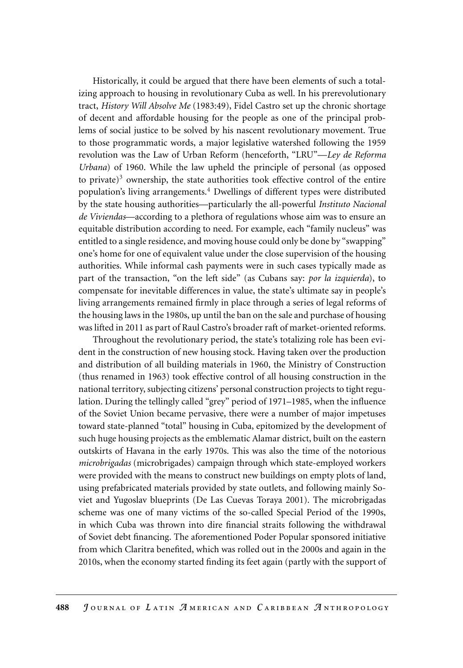Historically, it could be argued that there have been elements of such a totalizing approach to housing in revolutionary Cuba as well. In his prerevolutionary tract, *History Will Absolve Me* (1983:49), Fidel Castro set up the chronic shortage of decent and affordable housing for the people as one of the principal problems of social justice to be solved by his nascent revolutionary movement. True to those programmatic words, a major legislative watershed following the 1959 revolution was the Law of Urban Reform (henceforth, "LRU"—*Ley de Reforma Urbana*) of 1960. While the law upheld the principle of personal (as opposed to private)<sup>3</sup> ownership, the state authorities took effective control of the entire population's living arrangements.<sup>4</sup> Dwellings of different types were distributed by the state housing authorities—particularly the all-powerful *Instituto Nacional de Viviendas*—according to a plethora of regulations whose aim was to ensure an equitable distribution according to need. For example, each "family nucleus" was entitled to a single residence, and moving house could only be done by "swapping" one's home for one of equivalent value under the close supervision of the housing authorities. While informal cash payments were in such cases typically made as part of the transaction, "on the left side" (as Cubans say: *por la izquierda*), to compensate for inevitable differences in value, the state's ultimate say in people's living arrangements remained firmly in place through a series of legal reforms of the housing laws in the 1980s, up until the ban on the sale and purchase of housing was lifted in 2011 as part of Raul Castro's broader raft of market-oriented reforms.

Throughout the revolutionary period, the state's totalizing role has been evident in the construction of new housing stock. Having taken over the production and distribution of all building materials in 1960, the Ministry of Construction (thus renamed in 1963) took effective control of all housing construction in the national territory, subjecting citizens' personal construction projects to tight regulation. During the tellingly called "grey" period of 1971–1985, when the influence of the Soviet Union became pervasive, there were a number of major impetuses toward state-planned "total" housing in Cuba, epitomized by the development of such huge housing projects as the emblematic Alamar district, built on the eastern outskirts of Havana in the early 1970s. This was also the time of the notorious *microbrigadas* (microbrigades) campaign through which state-employed workers were provided with the means to construct new buildings on empty plots of land, using prefabricated materials provided by state outlets, and following mainly Soviet and Yugoslav blueprints (De Las Cuevas Toraya 2001). The microbrigadas scheme was one of many victims of the so-called Special Period of the 1990s, in which Cuba was thrown into dire financial straits following the withdrawal of Soviet debt financing. The aforementioned Poder Popular sponsored initiative from which Claritra benefited, which was rolled out in the 2000s and again in the 2010s, when the economy started finding its feet again (partly with the support of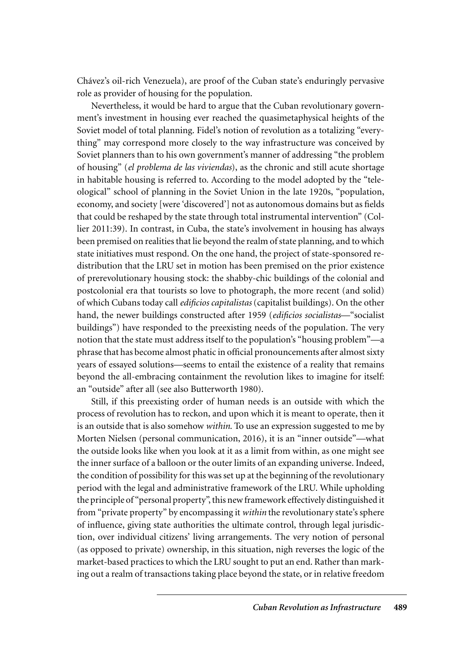Chavez's oil-rich Venezuela), are proof of the Cuban state's enduringly pervasive ´ role as provider of housing for the population.

Nevertheless, it would be hard to argue that the Cuban revolutionary government's investment in housing ever reached the quasimetaphysical heights of the Soviet model of total planning. Fidel's notion of revolution as a totalizing "everything" may correspond more closely to the way infrastructure was conceived by Soviet planners than to his own government's manner of addressing "the problem of housing" (*el problema de las viviendas*), as the chronic and still acute shortage in habitable housing is referred to. According to the model adopted by the "teleological" school of planning in the Soviet Union in the late 1920s, "population, economy, and society [were 'discovered'] not as autonomous domains but as fields that could be reshaped by the state through total instrumental intervention" (Collier 2011:39). In contrast, in Cuba, the state's involvement in housing has always been premised on realities that lie beyond the realm of state planning, and to which state initiatives must respond. On the one hand, the project of state-sponsored redistribution that the LRU set in motion has been premised on the prior existence of prerevolutionary housing stock: the shabby-chic buildings of the colonial and postcolonial era that tourists so love to photograph, the more recent (and solid) of which Cubans today call *edificios capitalistas* (capitalist buildings). On the other hand, the newer buildings constructed after 1959 (*edificios socialistas*—"socialist buildings") have responded to the preexisting needs of the population. The very notion that the state must address itself to the population's "housing problem"—a phrase that has become almost phatic in official pronouncements after almost sixty years of essayed solutions—seems to entail the existence of a reality that remains beyond the all-embracing containment the revolution likes to imagine for itself: an "outside" after all (see also Butterworth 1980).

Still, if this preexisting order of human needs is an outside with which the process of revolution has to reckon, and upon which it is meant to operate, then it is an outside that is also somehow *within*. To use an expression suggested to me by Morten Nielsen (personal communication, 2016), it is an "inner outside"—what the outside looks like when you look at it as a limit from within, as one might see the inner surface of a balloon or the outer limits of an expanding universe. Indeed, the condition of possibility for this was set up at the beginning of the revolutionary period with the legal and administrative framework of the LRU. While upholding the principle of "personal property", this new framework effectively distinguished it from "private property" by encompassing it *within* the revolutionary state's sphere of influence, giving state authorities the ultimate control, through legal jurisdiction, over individual citizens' living arrangements. The very notion of personal (as opposed to private) ownership, in this situation, nigh reverses the logic of the market-based practices to which the LRU sought to put an end. Rather than marking out a realm of transactions taking place beyond the state, or in relative freedom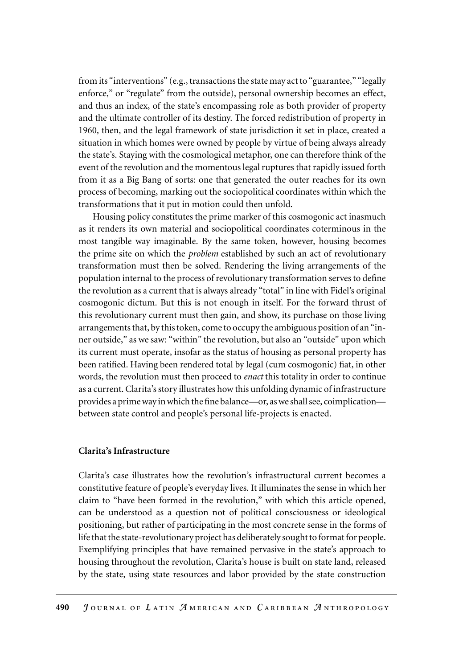from its "interventions" (e.g., transactions the state may act to "guarantee," "legally enforce," or "regulate" from the outside), personal ownership becomes an effect, and thus an index, of the state's encompassing role as both provider of property and the ultimate controller of its destiny. The forced redistribution of property in 1960, then, and the legal framework of state jurisdiction it set in place, created a situation in which homes were owned by people by virtue of being always already the state's. Staying with the cosmological metaphor, one can therefore think of the event of the revolution and the momentous legal ruptures that rapidly issued forth from it as a Big Bang of sorts: one that generated the outer reaches for its own process of becoming, marking out the sociopolitical coordinates within which the transformations that it put in motion could then unfold.

Housing policy constitutes the prime marker of this cosmogonic act inasmuch as it renders its own material and sociopolitical coordinates coterminous in the most tangible way imaginable. By the same token, however, housing becomes the prime site on which the *problem* established by such an act of revolutionary transformation must then be solved. Rendering the living arrangements of the population internal to the process of revolutionary transformation serves to define the revolution as a current that is always already "total" in line with Fidel's original cosmogonic dictum. But this is not enough in itself. For the forward thrust of this revolutionary current must then gain, and show, its purchase on those living arrangements that, by this token, come to occupy the ambiguous position of an "inner outside," as we saw: "within" the revolution, but also an "outside" upon which its current must operate, insofar as the status of housing as personal property has been ratified. Having been rendered total by legal (cum cosmogonic) fiat, in other words, the revolution must then proceed to *enact* this totality in order to continue as a current. Clarita's story illustrates how this unfolding dynamic of infrastructure provides a prime way in which the fine balance—or, as we shall see, coimplication between state control and people's personal life-projects is enacted.

#### **Clarita's Infrastructure**

Clarita's case illustrates how the revolution's infrastructural current becomes a constitutive feature of people's everyday lives. It illuminates the sense in which her claim to "have been formed in the revolution," with which this article opened, can be understood as a question not of political consciousness or ideological positioning, but rather of participating in the most concrete sense in the forms of life that the state-revolutionary project has deliberately sought to format for people. Exemplifying principles that have remained pervasive in the state's approach to housing throughout the revolution, Clarita's house is built on state land, released by the state, using state resources and labor provided by the state construction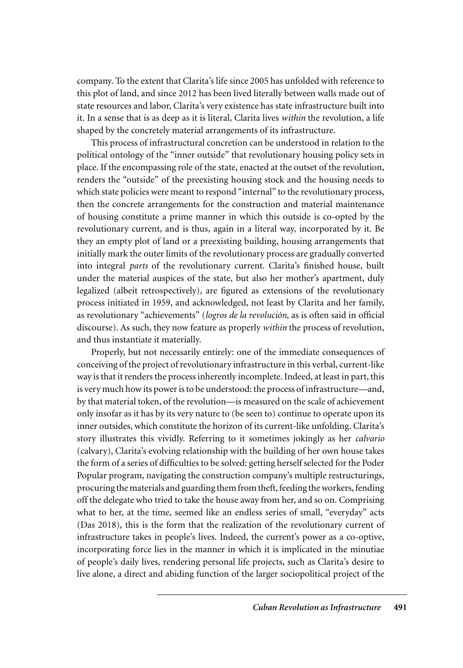company. To the extent that Clarita's life since 2005 has unfolded with reference to this plot of land, and since 2012 has been lived literally between walls made out of state resources and labor, Clarita's very existence has state infrastructure built into it. In a sense that is as deep as it is literal, Clarita lives *within* the revolution, a life shaped by the concretely material arrangements of its infrastructure.

This process of infrastructural concretion can be understood in relation to the political ontology of the "inner outside" that revolutionary housing policy sets in place. If the encompassing role of the state, enacted at the outset of the revolution, renders the "outside" of the preexisting housing stock and the housing needs to which state policies were meant to respond "internal" to the revolutionary process, then the concrete arrangements for the construction and material maintenance of housing constitute a prime manner in which this outside is co-opted by the revolutionary current, and is thus, again in a literal way, incorporated by it. Be they an empty plot of land or a preexisting building, housing arrangements that initially mark the outer limits of the revolutionary process are gradually converted into integral *parts* of the revolutionary current. Clarita's finished house, built under the material auspices of the state, but also her mother's apartment, duly legalized (albeit retrospectively), are figured as extensions of the revolutionary process initiated in 1959, and acknowledged, not least by Clarita and her family, as revolutionary "achievements" (*logros de la revolución*, as is often said in official discourse). As such, they now feature as properly *within* the process of revolution, and thus instantiate it materially.

Properly, but not necessarily entirely: one of the immediate consequences of conceiving of the project of revolutionary infrastructure in this verbal, current-like way is that it renders the process inherently incomplete. Indeed, at least in part, this is very much how its power is to be understood: the process of infrastructure—and, by that material token, of the revolution—is measured on the scale of achievement only insofar as it has by its very nature to (be seen to) continue to operate upon its inner outsides, which constitute the horizon of its current-like unfolding. Clarita's story illustrates this vividly. Referring to it sometimes jokingly as her *calvario* (calvary), Clarita's evolving relationship with the building of her own house takes the form of a series of difficulties to be solved: getting herself selected for the Poder Popular program, navigating the construction company's multiple restructurings, procuring the materials and guarding them from theft, feeding the workers, fending off the delegate who tried to take the house away from her, and so on. Comprising what to her, at the time, seemed like an endless series of small, "everyday" acts (Das 2018), this is the form that the realization of the revolutionary current of infrastructure takes in people's lives. Indeed, the current's power as a co-optive, incorporating force lies in the manner in which it is implicated in the minutiae of people's daily lives, rendering personal life projects, such as Clarita's desire to live alone, a direct and abiding function of the larger sociopolitical project of the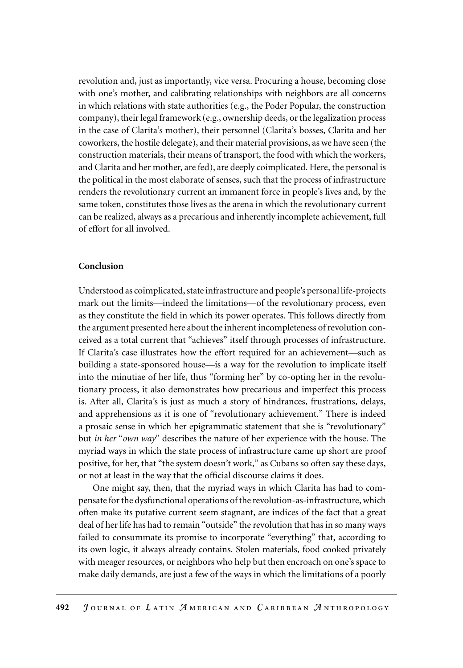revolution and, just as importantly, vice versa. Procuring a house, becoming close with one's mother, and calibrating relationships with neighbors are all concerns in which relations with state authorities (e.g., the Poder Popular, the construction company), their legal framework (e.g., ownership deeds, or the legalization process in the case of Clarita's mother), their personnel (Clarita's bosses, Clarita and her coworkers, the hostile delegate), and their material provisions, as we have seen (the construction materials, their means of transport, the food with which the workers, and Clarita and her mother, are fed), are deeply coimplicated. Here, the personal is the political in the most elaborate of senses, such that the process of infrastructure renders the revolutionary current an immanent force in people's lives and, by the same token, constitutes those lives as the arena in which the revolutionary current can be realized, always as a precarious and inherently incomplete achievement, full of effort for all involved.

#### **Conclusion**

Understood as coimplicated, state infrastructure and people's personal life-projects mark out the limits—indeed the limitations—of the revolutionary process, even as they constitute the field in which its power operates. This follows directly from the argument presented here about the inherent incompleteness of revolution conceived as a total current that "achieves" itself through processes of infrastructure. If Clarita's case illustrates how the effort required for an achievement—such as building a state-sponsored house—is a way for the revolution to implicate itself into the minutiae of her life, thus "forming her" by co-opting her in the revolutionary process, it also demonstrates how precarious and imperfect this process is. After all, Clarita's is just as much a story of hindrances, frustrations, delays, and apprehensions as it is one of "revolutionary achievement." There is indeed a prosaic sense in which her epigrammatic statement that she is "revolutionary" but *in her* "*own way*" describes the nature of her experience with the house. The myriad ways in which the state process of infrastructure came up short are proof positive, for her, that "the system doesn't work," as Cubans so often say these days, or not at least in the way that the official discourse claims it does.

One might say, then, that the myriad ways in which Clarita has had to compensate for the dysfunctional operations of the revolution-as-infrastructure, which often make its putative current seem stagnant, are indices of the fact that a great deal of her life has had to remain "outside" the revolution that has in so many ways failed to consummate its promise to incorporate "everything" that, according to its own logic, it always already contains. Stolen materials, food cooked privately with meager resources, or neighbors who help but then encroach on one's space to make daily demands, are just a few of the ways in which the limitations of a poorly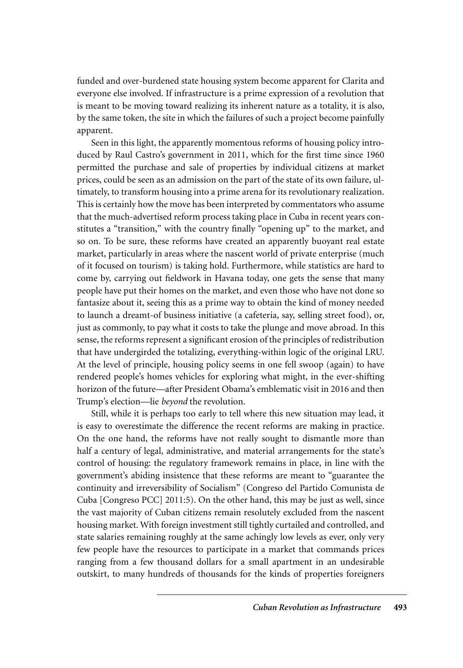funded and over-burdened state housing system become apparent for Clarita and everyone else involved. If infrastructure is a prime expression of a revolution that is meant to be moving toward realizing its inherent nature as a totality, it is also, by the same token, the site in which the failures of such a project become painfully apparent.

Seen in this light, the apparently momentous reforms of housing policy introduced by Raul Castro's government in 2011, which for the first time since 1960 permitted the purchase and sale of properties by individual citizens at market prices, could be seen as an admission on the part of the state of its own failure, ultimately, to transform housing into a prime arena for its revolutionary realization. This is certainly how the move has been interpreted by commentators who assume that the much-advertised reform process taking place in Cuba in recent years constitutes a "transition," with the country finally "opening up" to the market, and so on. To be sure, these reforms have created an apparently buoyant real estate market, particularly in areas where the nascent world of private enterprise (much of it focused on tourism) is taking hold. Furthermore, while statistics are hard to come by, carrying out fieldwork in Havana today, one gets the sense that many people have put their homes on the market, and even those who have not done so fantasize about it, seeing this as a prime way to obtain the kind of money needed to launch a dreamt-of business initiative (a cafeteria, say, selling street food), or, just as commonly, to pay what it costs to take the plunge and move abroad. In this sense, the reforms represent a significant erosion of the principles of redistribution that have undergirded the totalizing, everything-within logic of the original LRU. At the level of principle, housing policy seems in one fell swoop (again) to have rendered people's homes vehicles for exploring what might, in the ever-shifting horizon of the future—after President Obama's emblematic visit in 2016 and then Trump's election—lie *beyond* the revolution.

Still, while it is perhaps too early to tell where this new situation may lead, it is easy to overestimate the difference the recent reforms are making in practice. On the one hand, the reforms have not really sought to dismantle more than half a century of legal, administrative, and material arrangements for the state's control of housing: the regulatory framework remains in place, in line with the government's abiding insistence that these reforms are meant to "guarantee the continuity and irreversibility of Socialism" (Congreso del Partido Comunista de Cuba [Congreso PCC] 2011:5). On the other hand, this may be just as well, since the vast majority of Cuban citizens remain resolutely excluded from the nascent housing market. With foreign investment still tightly curtailed and controlled, and state salaries remaining roughly at the same achingly low levels as ever, only very few people have the resources to participate in a market that commands prices ranging from a few thousand dollars for a small apartment in an undesirable outskirt, to many hundreds of thousands for the kinds of properties foreigners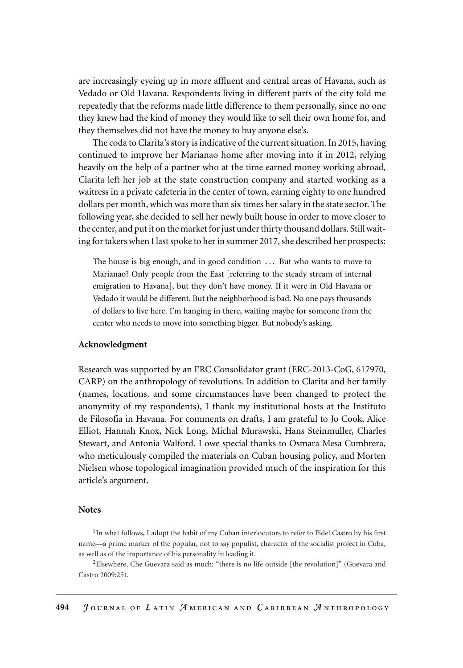are increasingly eyeing up in more affluent and central areas of Havana, such as Vedado or Old Havana. Respondents living in different parts of the city told me repeatedly that the reforms made little difference to them personally, since no one they knew had the kind of money they would like to sell their own home for, and they themselves did not have the money to buy anyone else's.

The coda to Clarita's story is indicative of the current situation. In 2015, having continued to improve her Marianao home after moving into it in 2012, relying heavily on the help of a partner who at the time earned money working abroad, Clarita left her job at the state construction company and started working as a waitress in a private cafeteria in the center of town, earning eighty to one hundred dollars per month, which was more than six times her salary in the state sector. The following year, she decided to sell her newly built house in order to move closer to the center, and put it on the market for just under thirty thousand dollars. Still waiting for takers when I last spoke to her in summer 2017, she described her prospects:

The house is big enough, and in good condition ... But who wants to move to Marianao? Only people from the East [referring to the steady stream of internal emigration to Havana], but they don't have money. If it were in Old Havana or Vedado it would be different. But the neighborhood is bad. No one pays thousands of dollars to live here. I'm hanging in there, waiting maybe for someone from the center who needs to move into something bigger. But nobody's asking.

#### **Acknowledgment**

Research was supported by an ERC Consolidator grant (ERC-2013-CoG, 617970, CARP) on the anthropology of revolutions. In addition to Clarita and her family (names, locations, and some circumstances have been changed to protect the anonymity of my respondents), I thank my institutional hosts at the Instituto de Filosof´ıa in Havana. For comments on drafts, I am grateful to Jo Cook, Alice Elliot, Hannah Knox, Nick Long, Michal Murawski, Hans Steinmuller, Charles Stewart, and Antonia Walford. I owe special thanks to Osmara Mesa Cumbrera, who meticulously compiled the materials on Cuban housing policy, and Morten Nielsen whose topological imagination provided much of the inspiration for this article's argument.

#### **Notes**

 $1$ In what follows, I adopt the habit of my Cuban interlocutors to refer to Fidel Castro by his first name—a prime marker of the popular, not to say populist, character of the socialist project in Cuba, as well as of the importance of his personality in leading it.

<sup>2</sup>Elsewhere, Che Guevara said as much: "there is no life outside [the revolution]" (Guevara and Castro 2009:25).